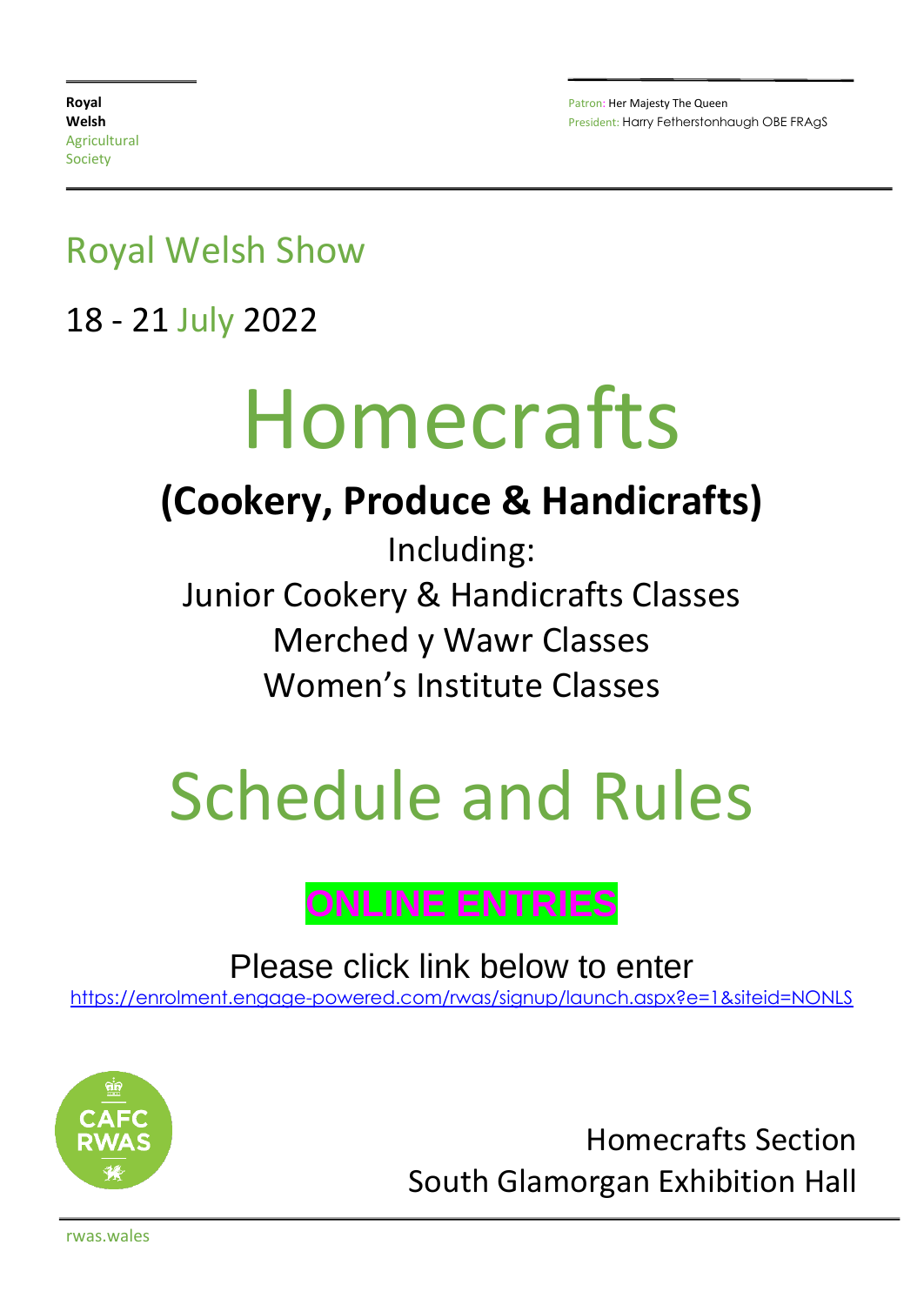### Royal Welsh Show

18 - 21 July 2022

# Homecrafts

## **(Cookery, Produce & Handicrafts)**

Including: Junior Cookery & Handicrafts Classes Merched y Wawr Classes Women's Institute Classes

# Schedule and Rules

### **ONLINE ENTRIES**

Please click link below to enter

[https://enrolment.engage-powered.com/rwas/signup/launch.aspx?e=1&siteid=NONLS](https://protect-eu.mimecast.com/s/QSAyCr8gnhDm6pF7s4F0)



Homecrafts Section South Glamorgan Exhibition Hall

rwas.wales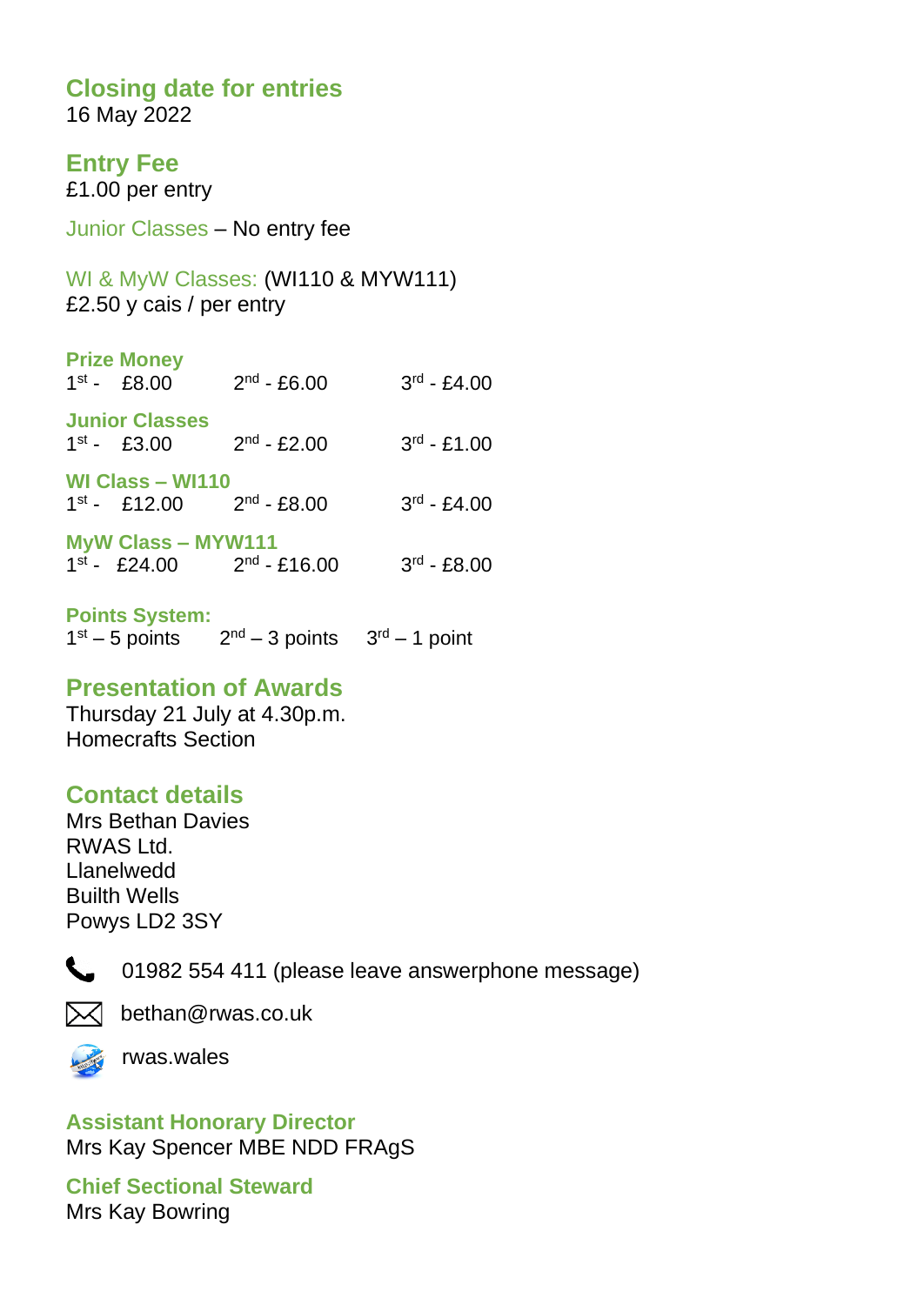### **Closing date for entries**

16 May 2022

### **Entry Fee**

£1.00 per entry

Junior Classes – No entry fee

WI & MyW Classes: (WI110 & MYW111) £2.50 y cais / per entry

| <b>Prize Money</b><br>$1^{st}$ - £8.00                                                                                              | $2^{nd}$ - £6.00 | $3^{rd}$ - £4.00 |
|-------------------------------------------------------------------------------------------------------------------------------------|------------------|------------------|
| <b>Junior Classes</b><br>$1^{st}$ - £3.00                                                                                           | $2^{nd}$ - £2.00 | $3^{rd} - £1.00$ |
| WI Class - WI110<br>$1^{st}$ - £12.00<br>$M_{\rm v}$ $M_{\rm s}$ $N_{\rm s}$ $\sim$ $N_{\rm s}$ $N_{\rm s}$ $M_{\rm s}$ $M_{\rm s}$ | $2nd$ - £8.00    | $3^{rd} - £4.00$ |

| MYW GRSS – MTWTTT        |                   |                  |
|--------------------------|-------------------|------------------|
| $1^{\text{st}}$ - £24.00 | $2^{nd}$ - £16.00 | $3^{rd}$ - £8.00 |

#### **Points System:**

 $1<sup>st</sup> - 5$  points  $2<sup>nd</sup> - 3$  points  $3<sup>rd</sup> - 1$  point

### **Presentation of Awards**

Thursday 21 July at 4.30p.m. Homecrafts Section

### **Contact details**

Mrs Bethan Davies RWAS Ltd. Llanelwedd Builth Wells Powys LD2 3SY



01982 554 411 (please leave answerphone message)



 $\boxtimes$  bethan@rwas.co.uk



rwas.wales

**Assistant Honorary Director** Mrs Kay Spencer MBE NDD FRAgS

**Chief Sectional Steward** Mrs Kay Bowring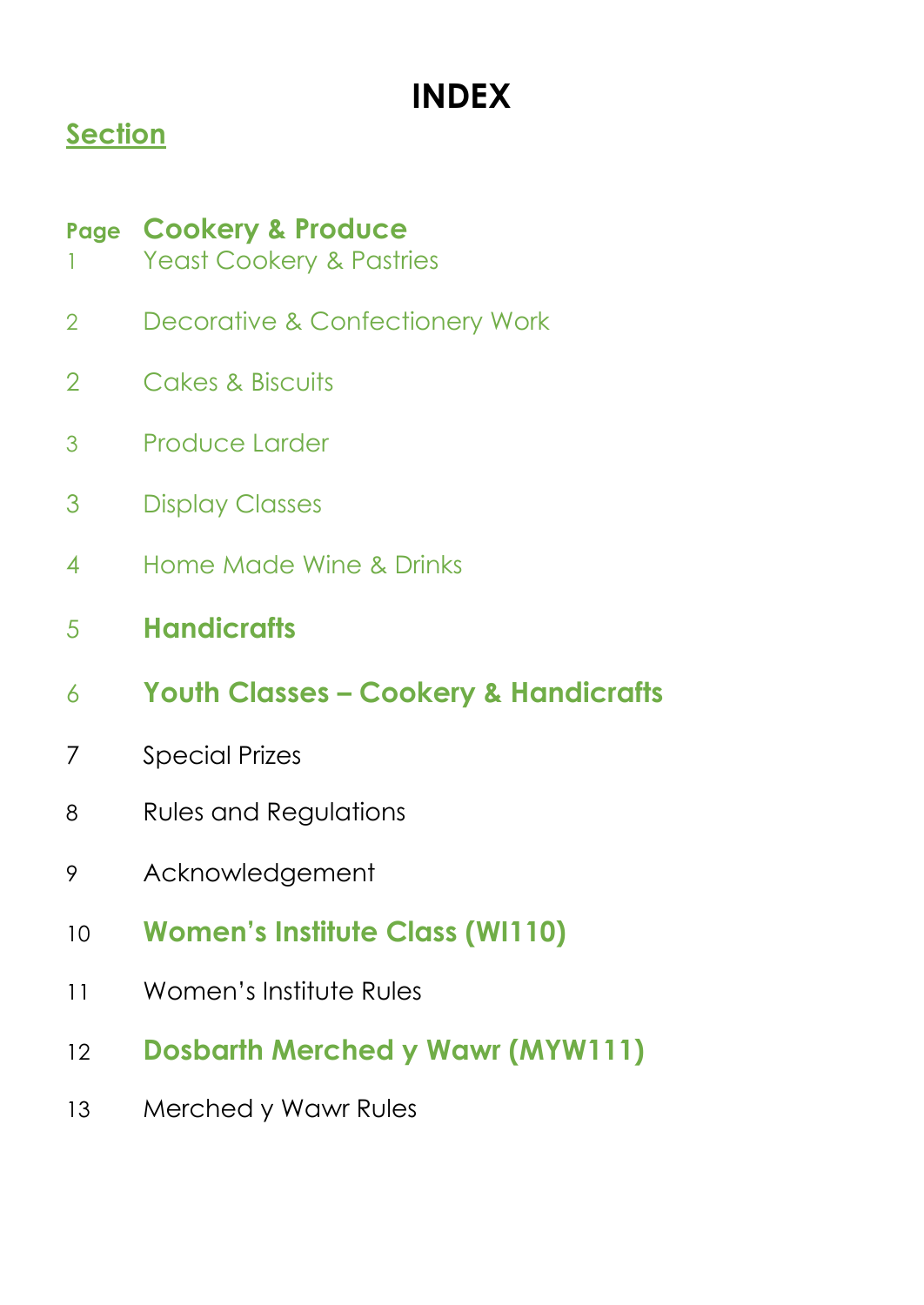## **INDEX**

### **Section**

### **Page Cookery & Produce**

- 1 Yeast Cookery & Pastries
- Decorative & Confectionery Work
- Cakes & Biscuits
- Produce Larder
- Display Classes
- Home Made Wine & Drinks
- **Handicrafts**
- **Youth Classes – Cookery & Handicrafts**
- Special Prizes
- Rules and Regulations
- Acknowledgement
- **Women's Institute Class (WI110)**
- Women's Institute Rules
- **Dosbarth Merched y Wawr (MYW111)**
- Merched y Wawr Rules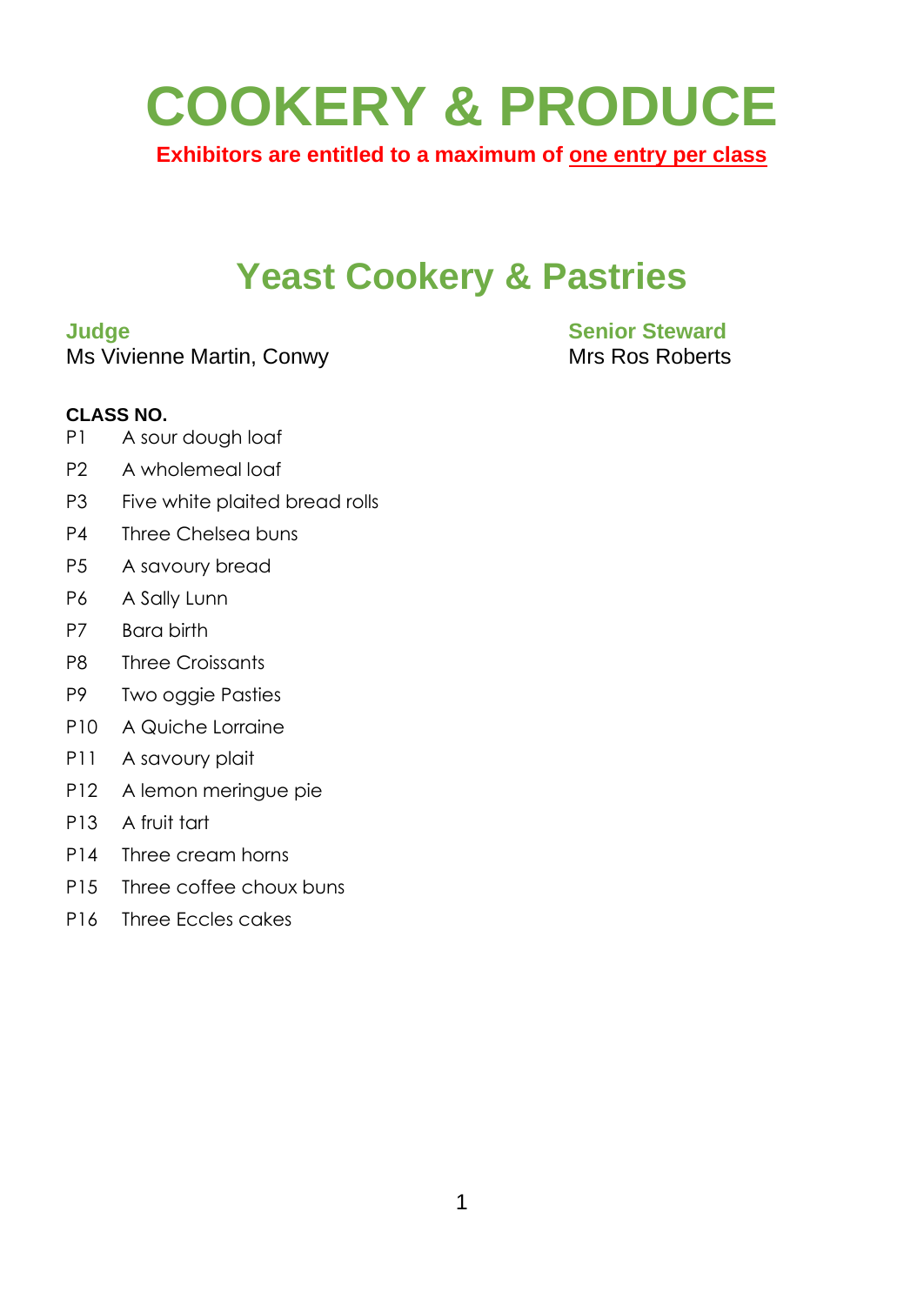# **COOKERY & PRODUCE**

**Exhibitors are entitled to a maximum of one entry per class**

### **Yeast Cookery & Pastries**

Ms Vivienne Martin, Conwy Mrs Ros Roberts

## **Judge Senior Steward**

#### **CLASS NO.**

- P1 A sour dough loaf
- P2 A wholemeal loaf
- P3 Five white plaited bread rolls
- P4 Three Chelsea buns
- P5 A savoury bread
- P6 A Sally Lunn
- P7 Bara birth
- P8 Three Croissants
- P9 Two oggie Pasties
- P10 A Quiche Lorraine
- P11 A savoury plait
- P12 A lemon meringue pie
- P13 A fruit tart
- P14 Three cream horns
- P15 Three coffee choux buns
- P16 Three Eccles cakes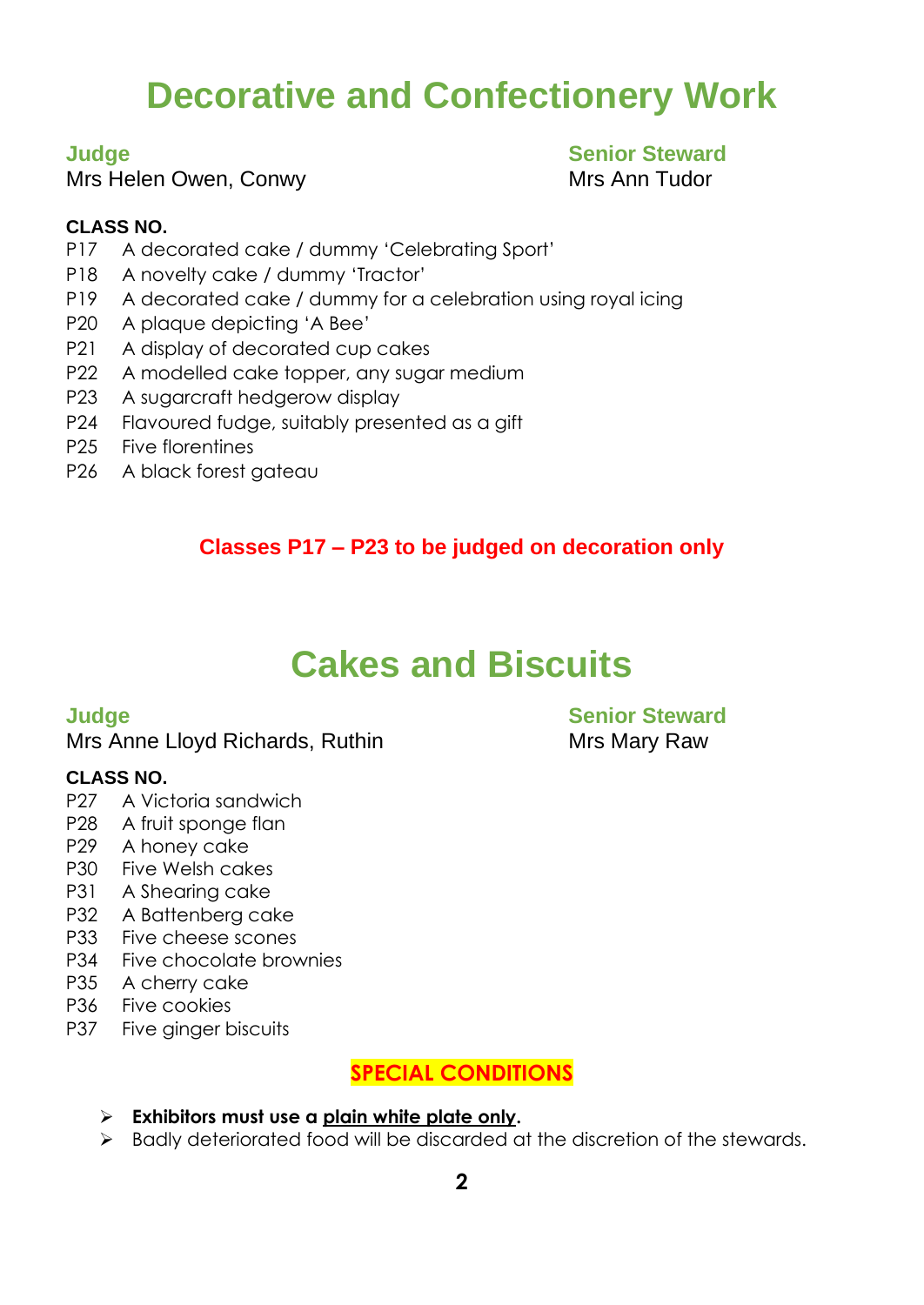## **Decorative and Confectionery Work**

Mrs Helen Owen, Conwy **Mrs Ann Tudor** Mrs Ann Tudor

## **Judge Senior Steward**

#### **CLASS NO.**

- P17 A decorated cake / dummy 'Celebrating Sport'
- P18 A novelty cake / dummy 'Tractor'
- P19 A decorated cake / dummy for a celebration using royal icing
- P20 A plaque depicting 'A Bee'
- P21 A display of decorated cup cakes
- P22 A modelled cake topper, any sugar medium
- P23 A sugarcraft hedgerow display
- P24 Flavoured fudge, suitably presented as a gift
- P25 Five florentines
- P26 A black forest gateau

### **Classes P17 – P23 to be judged on decoration only**

### **Cakes and Biscuits**

#### Mrs Anne Lloyd Richards, Ruthin Mrs Mary Raw

#### **CLASS NO.**

- P27 A Victoria sandwich
- P28 A fruit sponge flan
- P29 A honey cake
- P30 Five Welsh cakes
- P31 A Shearing cake
- P32 A Battenberg cake
- P33 Five cheese scones
- P34 Five chocolate brownies
- P35 A cherry cake
- P36 Five cookies
- P37 Five ginger biscuits

#### **SPECIAL CONDITIONS**

- ➢ **Exhibitors must use a plain white plate only.**
- ➢ Badly deteriorated food will be discarded at the discretion of the stewards.

**Judge Senior Steward**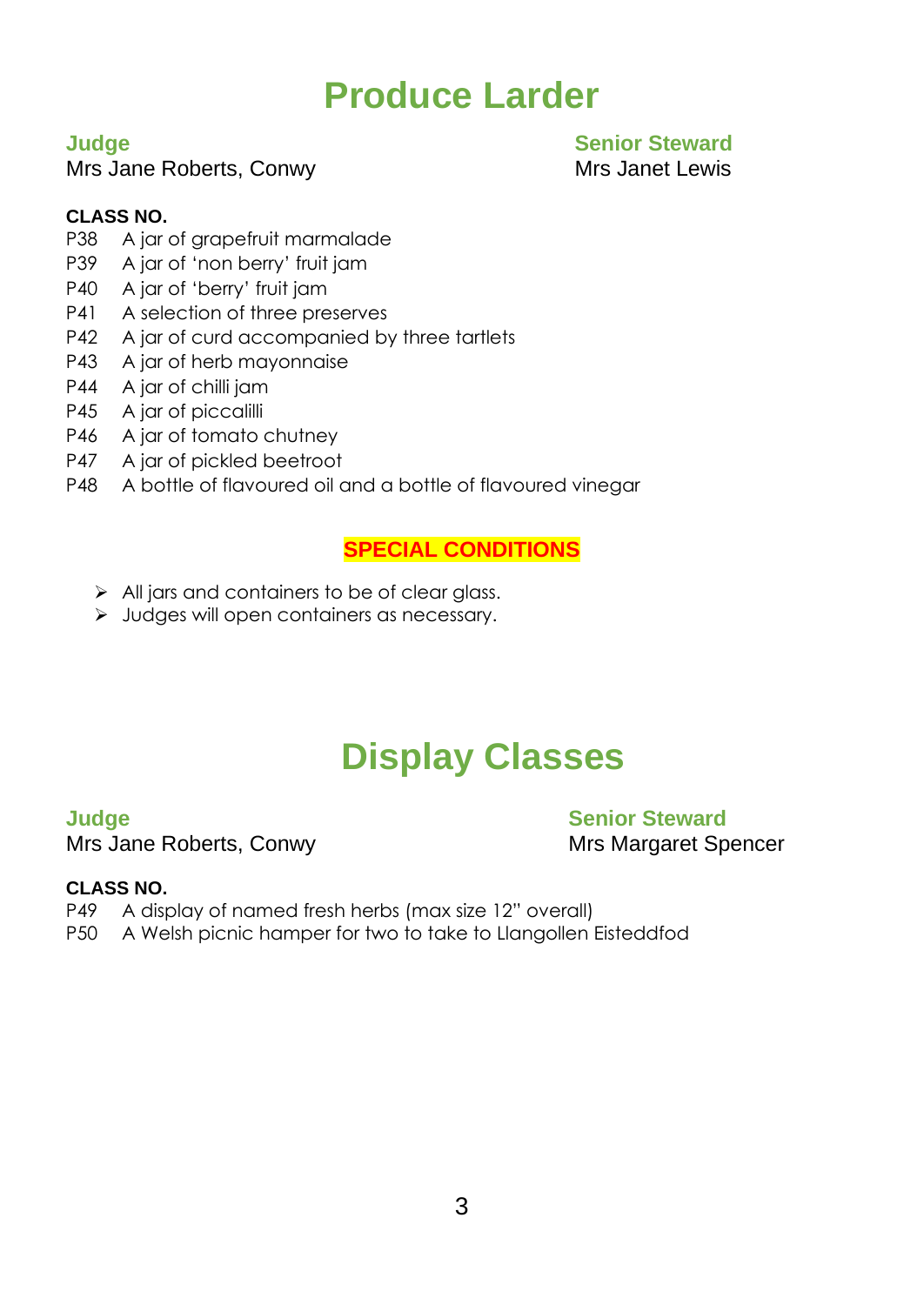### **Produce Larder**

Mrs Jane Roberts, Conwy Mrs Janet Lewis

#### **Judge Senior Steward**

#### **CLASS NO.**

- P38 A jar of grapefruit marmalade
- P39 A jar of 'non berry' fruit jam
- P40 A jar of 'berry' fruit jam
- P41 A selection of three preserves
- P42 A jar of curd accompanied by three tartlets
- P43 A jar of herb mayonnaise
- P44 A jar of chilli jam
- P45 A jar of piccalilli
- P46 A jar of tomato chutney
- P47 A jar of pickled beetroot
- P48 A bottle of flavoured oil and a bottle of flavoured vinegar

#### **SPECIAL CONDITIONS**

- $\triangleright$  All jars and containers to be of clear glass.
- ➢ Judges will open containers as necessary.

## **Display Classes**

Mrs Jane Roberts, Conwy Mrs Margaret Spencer

**Judge Senior Steward** 

#### **CLASS NO.**

- P49 A display of named fresh herbs (max size 12" overall)
- P50 A Welsh picnic hamper for two to take to Llangollen Eisteddfod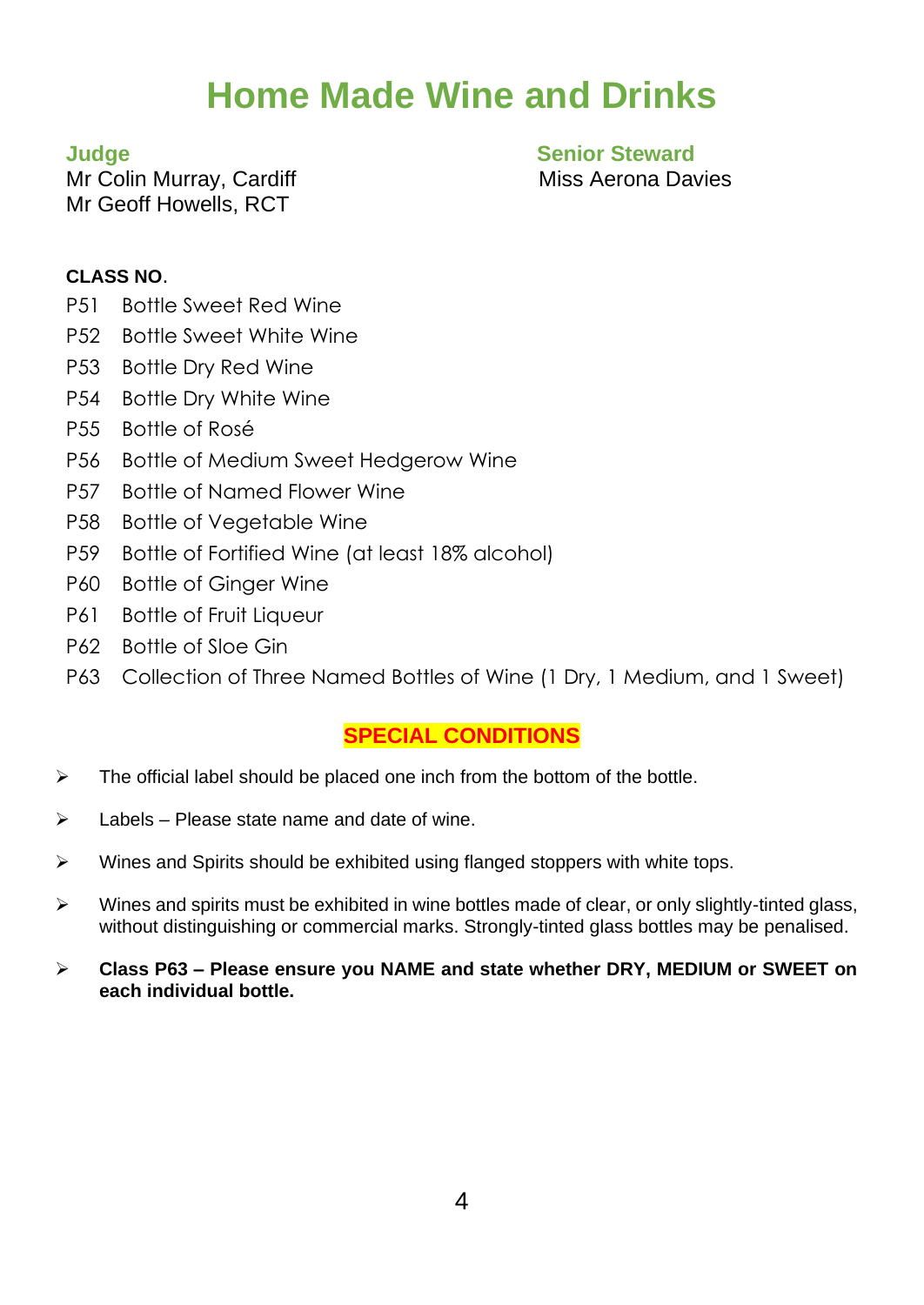## **Home Made Wine and Drinks**

Mr Colin Murray, Cardiff Miss Aerona Davies Mr Geoff Howells, RCT

**Judge Senior Steward**

#### **CLASS NO**.

- P51 Bottle Sweet Red Wine
- P52 Bottle Sweet White Wine
- P53 Bottle Dry Red Wine
- P54 Bottle Dry White Wine
- P55 Bottle of Rosé
- P56 Bottle of Medium Sweet Hedgerow Wine
- P57 Bottle of Named Flower Wine
- P58 Bottle of Vegetable Wine
- P59 Bottle of Fortified Wine (at least 18% alcohol)
- P60 Bottle of Ginger Wine
- P61 Bottle of Fruit Liqueur
- P62 Bottle of Sloe Gin
- P63 Collection of Three Named Bottles of Wine (1 Dry, 1 Medium, and 1 Sweet)

#### **SPECIAL CONDITIONS**

- $\triangleright$  The official label should be placed one inch from the bottom of the bottle.
- $\triangleright$  Labels Please state name and date of wine.
- ➢ Wines and Spirits should be exhibited using flanged stoppers with white tops.
- ➢ Wines and spirits must be exhibited in wine bottles made of clear, or only slightly-tinted glass, without distinguishing or commercial marks. Strongly-tinted glass bottles may be penalised.
- ➢ **Class P63 – Please ensure you NAME and state whether DRY, MEDIUM or SWEET on each individual bottle.**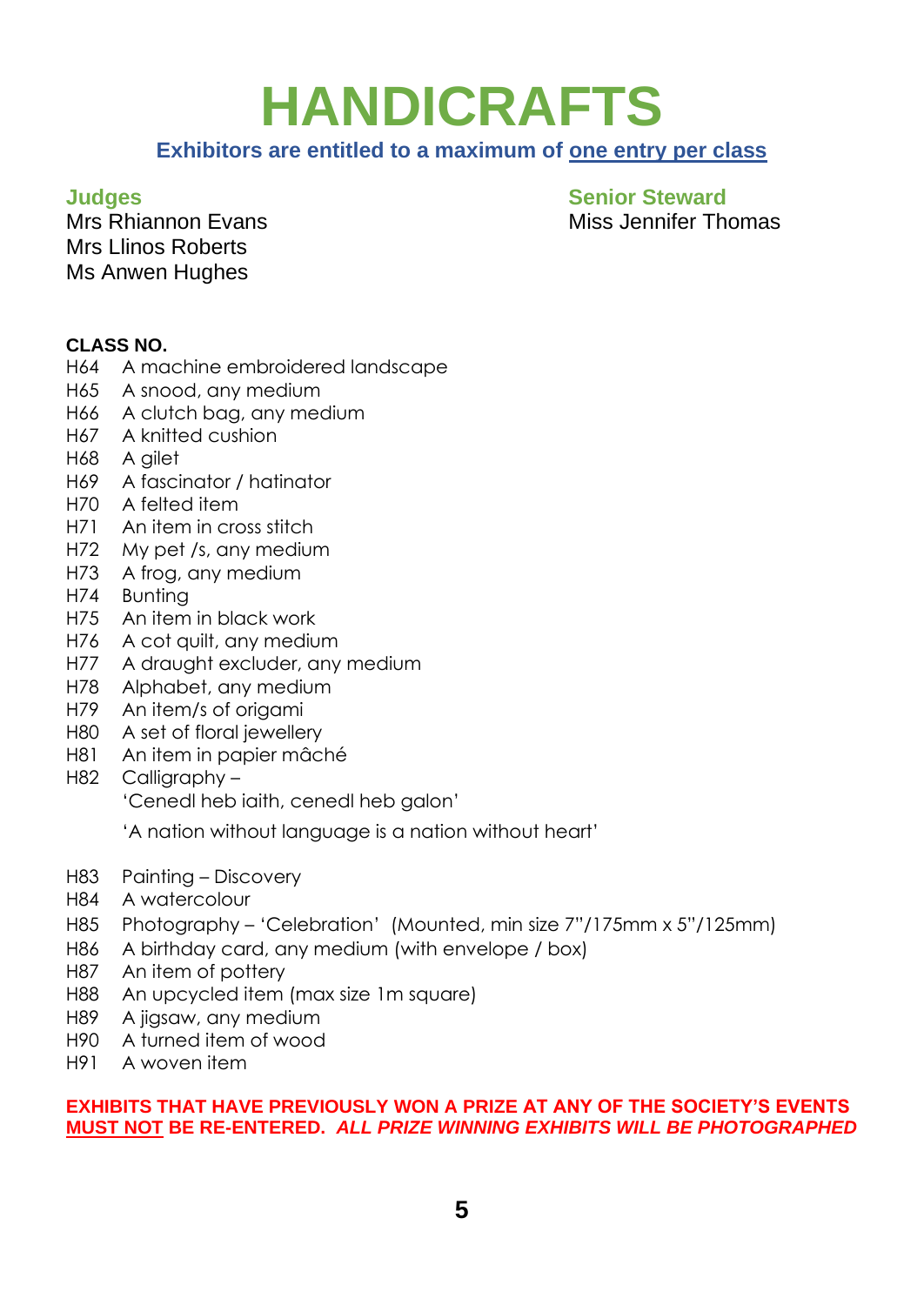## **HANDICRAFTS**

#### **Exhibitors are entitled to a maximum of one entry per class**

Mrs Llinos Roberts Ms Anwen Hughes

**Judges Senior Steward** Mrs Rhiannon Evans Miss Jennifer Thomas

#### **CLASS NO.**

- H64 A machine embroidered landscape
- H65 A snood, any medium
- H66 A clutch bag, any medium
- H67 A knitted cushion
- H68 A gilet
- H69 A fascinator / hatinator
- H70 A felted item
- H71 An item in cross stitch
- H72 My pet /s, any medium
- H73 A frog, any medium
- H74 Bunting
- H75 An item in black work
- H76 A cot quilt, any medium
- H77 A draught excluder, any medium
- H78 Alphabet, any medium
- H79 An item/s of origami
- H80 A set of floral jewellery
- H81 An item in papier mâché
- H82 Calligraphy 'Cenedl heb iaith, cenedl heb galon'

'A nation without language is a nation without heart'

- H83 Painting Discovery
- H84 A watercolour
- H85 Photography 'Celebration' (Mounted, min size 7"/175mm x 5"/125mm)
- H86 A birthday card, any medium (with envelope / box)
- H87 An item of pottery
- H88 An upcycled item (max size 1m square)
- H89 A jigsaw, any medium
- H90 A turned item of wood
- H91 A woven item

#### **EXHIBITS THAT HAVE PREVIOUSLY WON A PRIZE AT ANY OF THE SOCIETY'S EVENTS MUST NOT BE RE-ENTERED.** *ALL PRIZE WINNING EXHIBITS WILL BE PHOTOGRAPHED*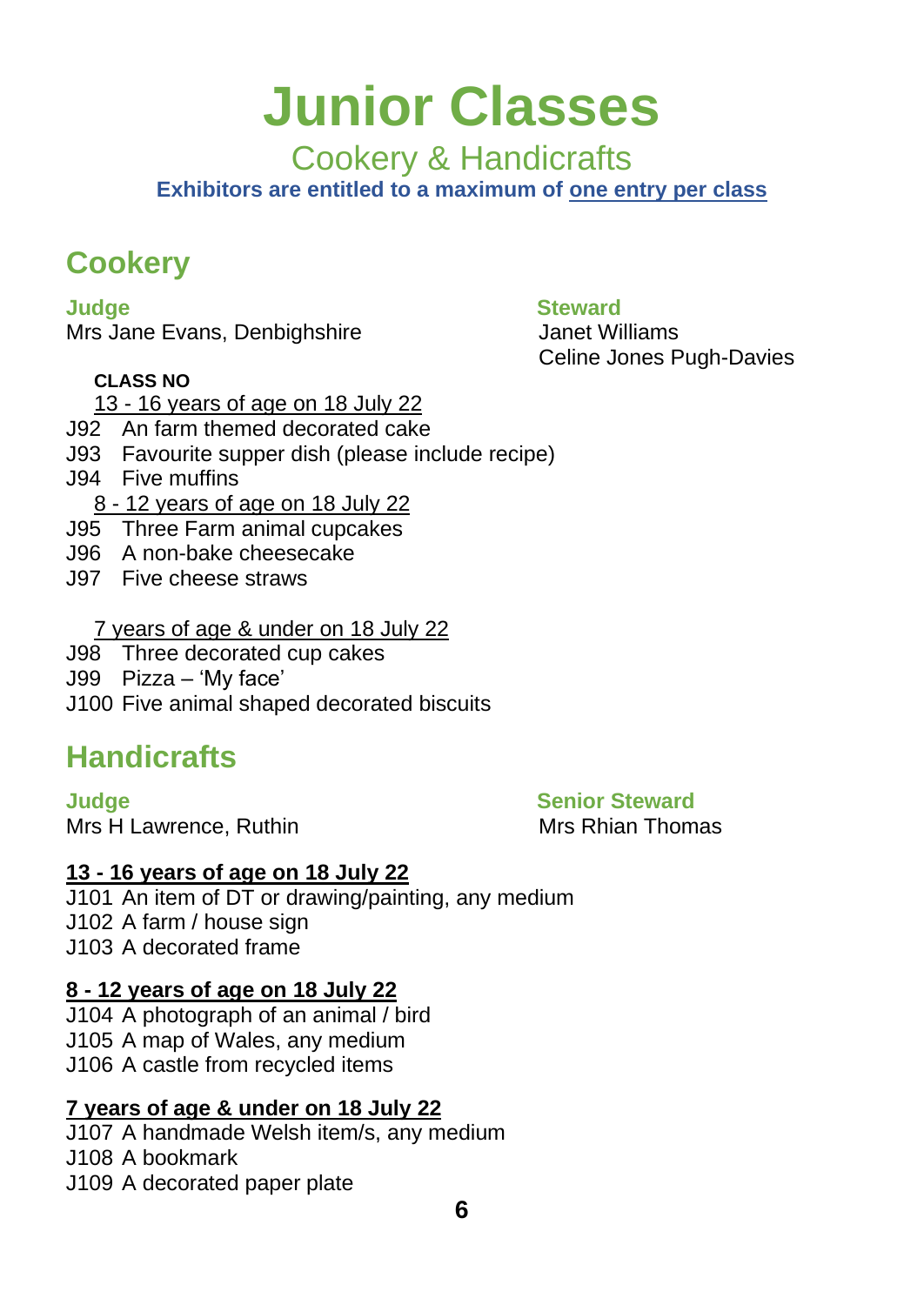## **Junior Classes**

Cookery & Handicrafts

**Exhibitors are entitled to a maximum of one entry per class**

### **Cookery**

Mrs Jane Evans, Denbighshire **Janet Williams** 

#### **CLASS NO**

### **Judge Steward**

Celine Jones Pugh-Davies

- 13 16 years of age on 18 July 22
- J92 An farm themed decorated cake
- J93 Favourite supper dish (please include recipe)
- J94 Five muffins
	- 8 12 years of age on 18 July 22
- J95 Three Farm animal cupcakes
- J96 A non-bake cheesecake
- J97 Five cheese straws
	- 7 years of age & under on 18 July 22
- J98 Three decorated cup cakes
- J99 Pizza 'My face'
- J100 Five animal shaped decorated biscuits

### **Handicrafts**

**Judge Senior Steward** Mrs H Lawrence, Ruthin Mrs Rhian Thomas

### **13 - 16 years of age on 18 July 22**

J101 An item of DT or drawing/painting, any medium J102 A farm / house sign J103 A decorated frame

### **8 - 12 years of age on 18 July 22**

J104 A photograph of an animal / bird J105 A map of Wales, any medium J106 A castle from recycled items

### **7 years of age & under on 18 July 22**

J107 A handmade Welsh item/s, any medium J108 A bookmark J109 A decorated paper plate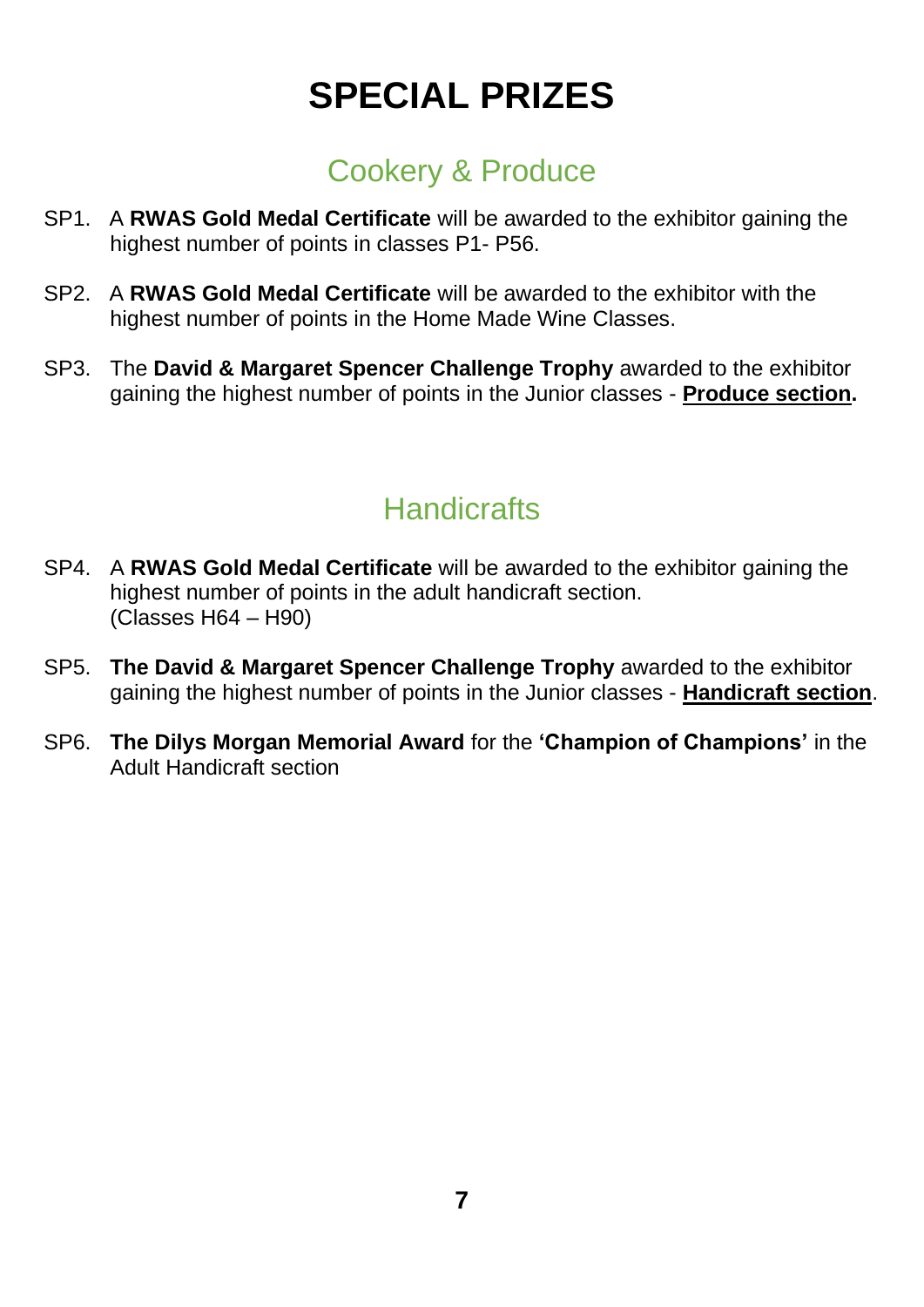## **SPECIAL PRIZES**

### Cookery & Produce

- SP1. A **RWAS Gold Medal Certificate** will be awarded to the exhibitor gaining the highest number of points in classes P1- P56.
- SP2. A **RWAS Gold Medal Certificate** will be awarded to the exhibitor with the highest number of points in the Home Made Wine Classes.
- SP3. The **David & Margaret Spencer Challenge Trophy** awarded to the exhibitor gaining the highest number of points in the Junior classes - **Produce section.**

### **Handicrafts**

- SP4. A **RWAS Gold Medal Certificate** will be awarded to the exhibitor gaining the highest number of points in the adult handicraft section. (Classes H64 – H90)
- SP5. **The David & Margaret Spencer Challenge Trophy** awarded to the exhibitor gaining the highest number of points in the Junior classes - **Handicraft section**.
- SP6. **The Dilys Morgan Memorial Award** for the **'Champion of Champions'** in the Adult Handicraft section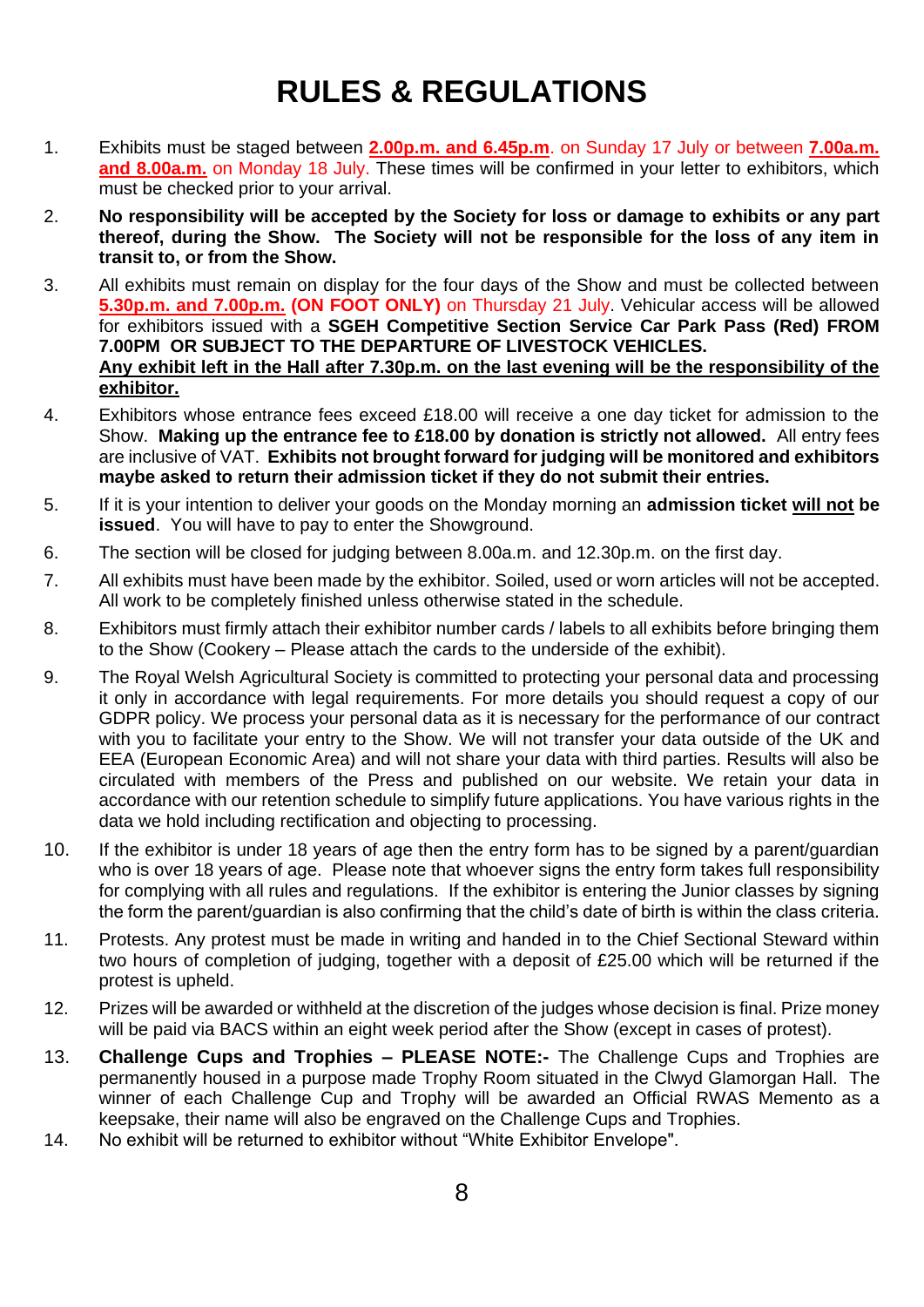### **RULES & REGULATIONS**

- 1. Exhibits must be staged between **2.00p.m. and 6.45p.m**. on Sunday 17 July or between **7.00a.m.**  and 8.00a.m. on Monday 18 July. These times will be confirmed in your letter to exhibitors, which must be checked prior to your arrival.
- 2. **No responsibility will be accepted by the Society for loss or damage to exhibits or any part thereof, during the Show. The Society will not be responsible for the loss of any item in transit to, or from the Show.**
- 3. All exhibits must remain on display for the four days of the Show and must be collected between **5.30p.m. and 7.00p.m. (ON FOOT ONLY)** on Thursday 21 July. Vehicular access will be allowed for exhibitors issued with a **SGEH Competitive Section Service Car Park Pass (Red) FROM 7.00PM OR SUBJECT TO THE DEPARTURE OF LIVESTOCK VEHICLES. Any exhibit left in the Hall after 7.30p.m. on the last evening will be the responsibility of the exhibitor.**
- 4. Exhibitors whose entrance fees exceed £18.00 will receive a one day ticket for admission to the Show. **Making up the entrance fee to £18.00 by donation is strictly not allowed.** All entry fees are inclusive of VAT. **Exhibits not brought forward for judging will be monitored and exhibitors maybe asked to return their admission ticket if they do not submit their entries.**
- 5. If it is your intention to deliver your goods on the Monday morning an **admission ticket will not be issued**. You will have to pay to enter the Showground.
- 6. The section will be closed for judging between 8.00a.m. and 12.30p.m. on the first day.
- 7. All exhibits must have been made by the exhibitor. Soiled, used or worn articles will not be accepted. All work to be completely finished unless otherwise stated in the schedule.
- 8. Exhibitors must firmly attach their exhibitor number cards / labels to all exhibits before bringing them to the Show (Cookery – Please attach the cards to the underside of the exhibit).
- 9. The Royal Welsh Agricultural Society is committed to protecting your personal data and processing it only in accordance with legal requirements. For more details you should request a copy of our GDPR policy. We process your personal data as it is necessary for the performance of our contract with you to facilitate your entry to the Show. We will not transfer your data outside of the UK and EEA (European Economic Area) and will not share your data with third parties. Results will also be circulated with members of the Press and published on our website. We retain your data in accordance with our retention schedule to simplify future applications. You have various rights in the data we hold including rectification and objecting to processing.
- 10. If the exhibitor is under 18 years of age then the entry form has to be signed by a parent/guardian who is over 18 years of age. Please note that whoever signs the entry form takes full responsibility for complying with all rules and regulations. If the exhibitor is entering the Junior classes by signing the form the parent/guardian is also confirming that the child's date of birth is within the class criteria.
- 11. Protests. Any protest must be made in writing and handed in to the Chief Sectional Steward within two hours of completion of judging, together with a deposit of £25.00 which will be returned if the protest is upheld.
- 12. Prizes will be awarded or withheld at the discretion of the judges whose decision is final. Prize money will be paid via BACS within an eight week period after the Show (except in cases of protest).
- 13. **Challenge Cups and Trophies – PLEASE NOTE:-** The Challenge Cups and Trophies are permanently housed in a purpose made Trophy Room situated in the Clwyd Glamorgan Hall. The winner of each Challenge Cup and Trophy will be awarded an Official RWAS Memento as a keepsake, their name will also be engraved on the Challenge Cups and Trophies.
- 14. No exhibit will be returned to exhibitor without "White Exhibitor Envelope".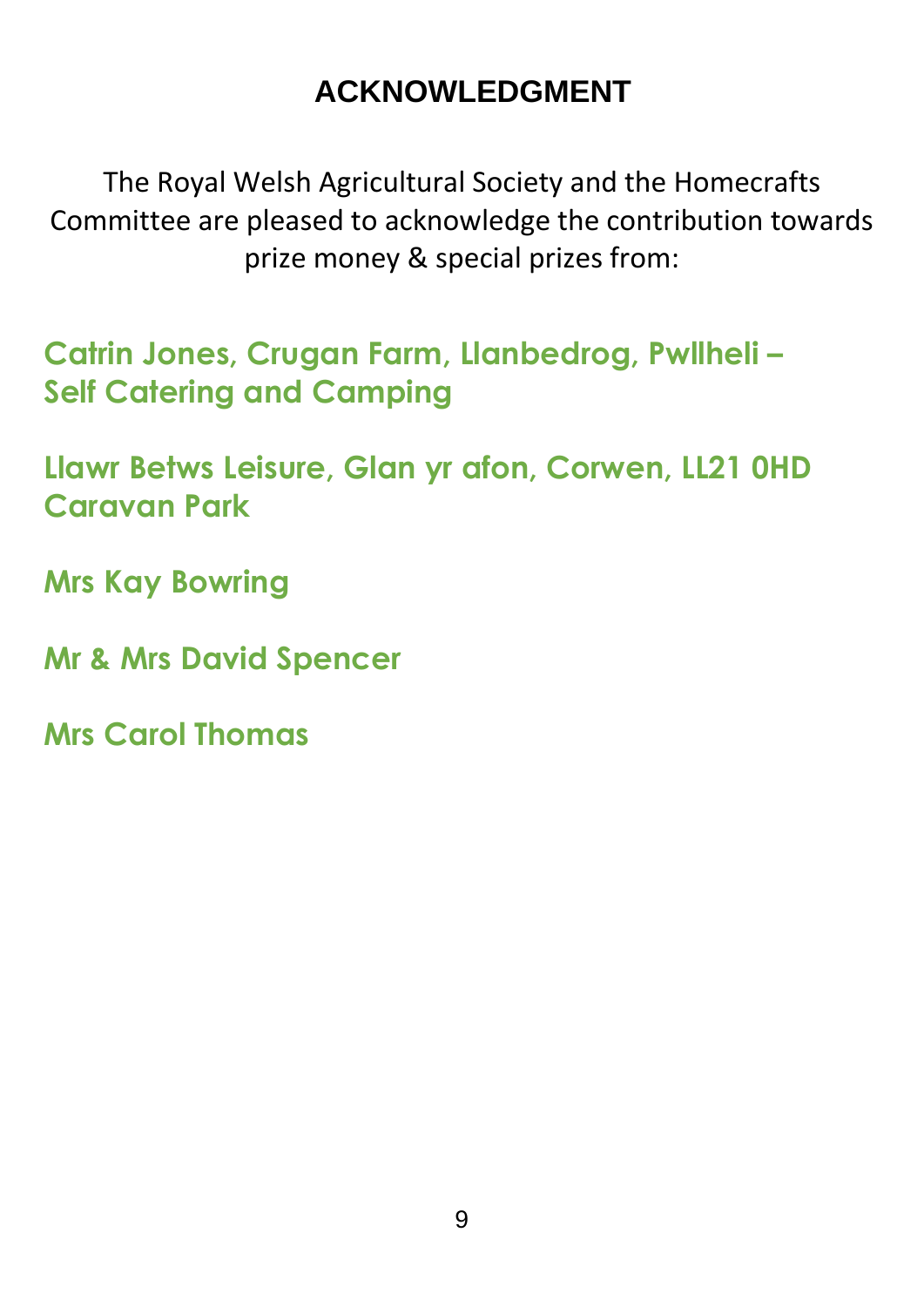### **ACKNOWLEDGMENT**

The Royal Welsh Agricultural Society and the Homecrafts Committee are pleased to acknowledge the contribution towards prize money & special prizes from:

**Catrin Jones, Crugan Farm, Llanbedrog, Pwllheli – Self Catering and Camping**

**Llawr Betws Leisure, Glan yr afon, Corwen, LL21 0HD Caravan Park** 

**Mrs Kay Bowring**

**Mr & Mrs David Spencer**

**Mrs Carol Thomas**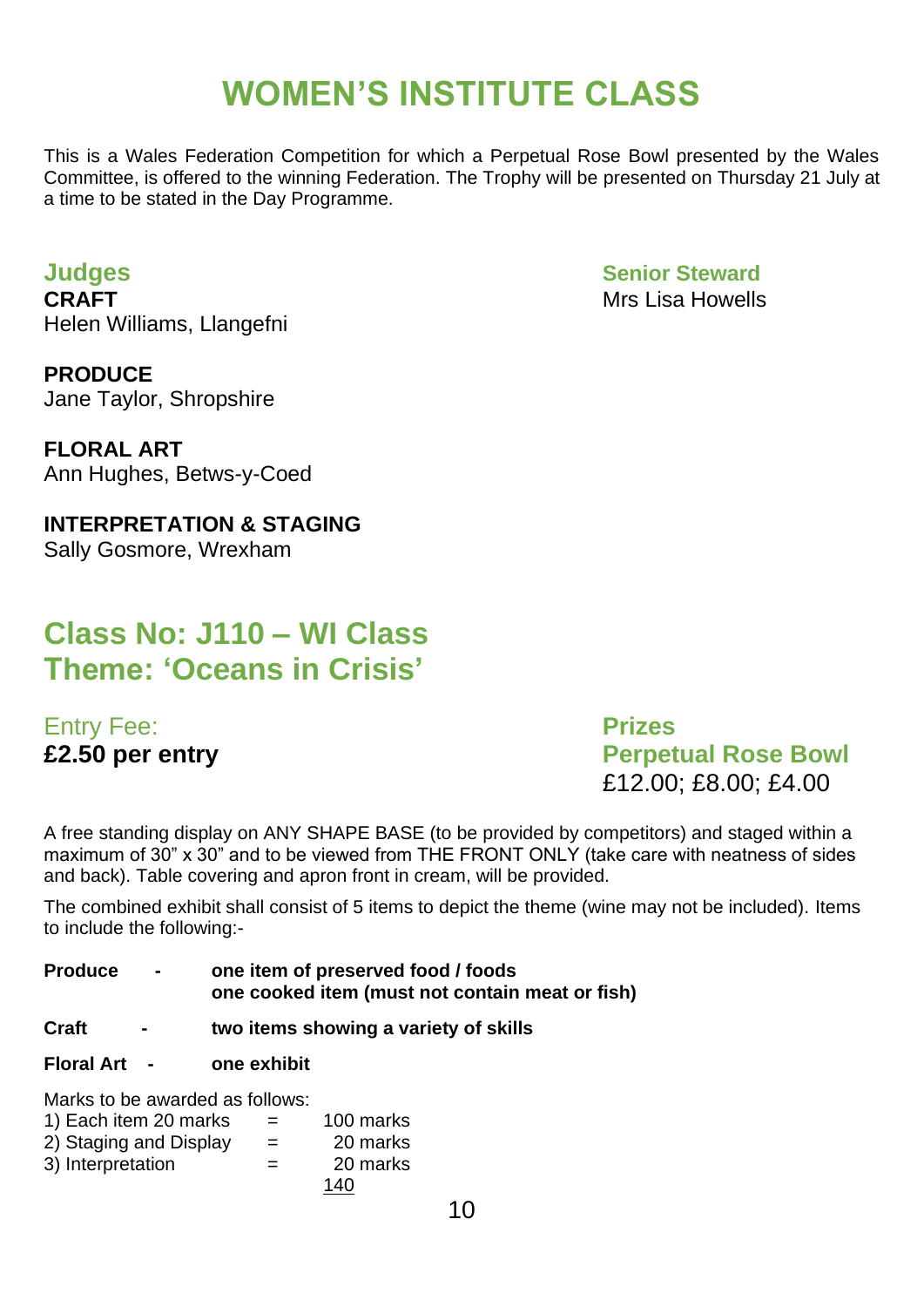### **WOMEN'S INSTITUTE CLASS**

This is a Wales Federation Competition for which a Perpetual Rose Bowl presented by the Wales Committee, is offered to the winning Federation. The Trophy will be presented on Thursday 21 July at a time to be stated in the Day Programme.

**CRAFT** Mrs Lisa Howells Helen Williams, Llangefni

**PRODUCE** Jane Taylor, Shropshire

**FLORAL ART** Ann Hughes, Betws-y-Coed

**INTERPRETATION & STAGING** Sally Gosmore, Wrexham

### **Class No: J110 – WI Class Theme: 'Oceans in Crisis'**

Entry Fee: **Prizes**

**Judges Senior Steward**

**£2.50 per entry Perpetual Rose Bowl** £12.00; £8.00; £4.00

A free standing display on ANY SHAPE BASE (to be provided by competitors) and staged within a maximum of 30" x 30" and to be viewed from THE FRONT ONLY (take care with neatness of sides and back). Table covering and apron front in cream, will be provided.

The combined exhibit shall consist of 5 items to depict the theme (wine may not be included). Items to include the following:-

**Produce - one item of preserved food / foods one cooked item (must not contain meat or fish)**

- **Craft two items showing a variety of skills**
- **Floral Art - one exhibit**

Marks to be awarded as follows:

| 1) Each item 20 marks  | $=$ | 100 marks |
|------------------------|-----|-----------|
| 2) Staging and Display | $=$ | 20 marks  |
| 3) Interpretation      | $=$ | 20 marks  |
|                        |     | 140       |

10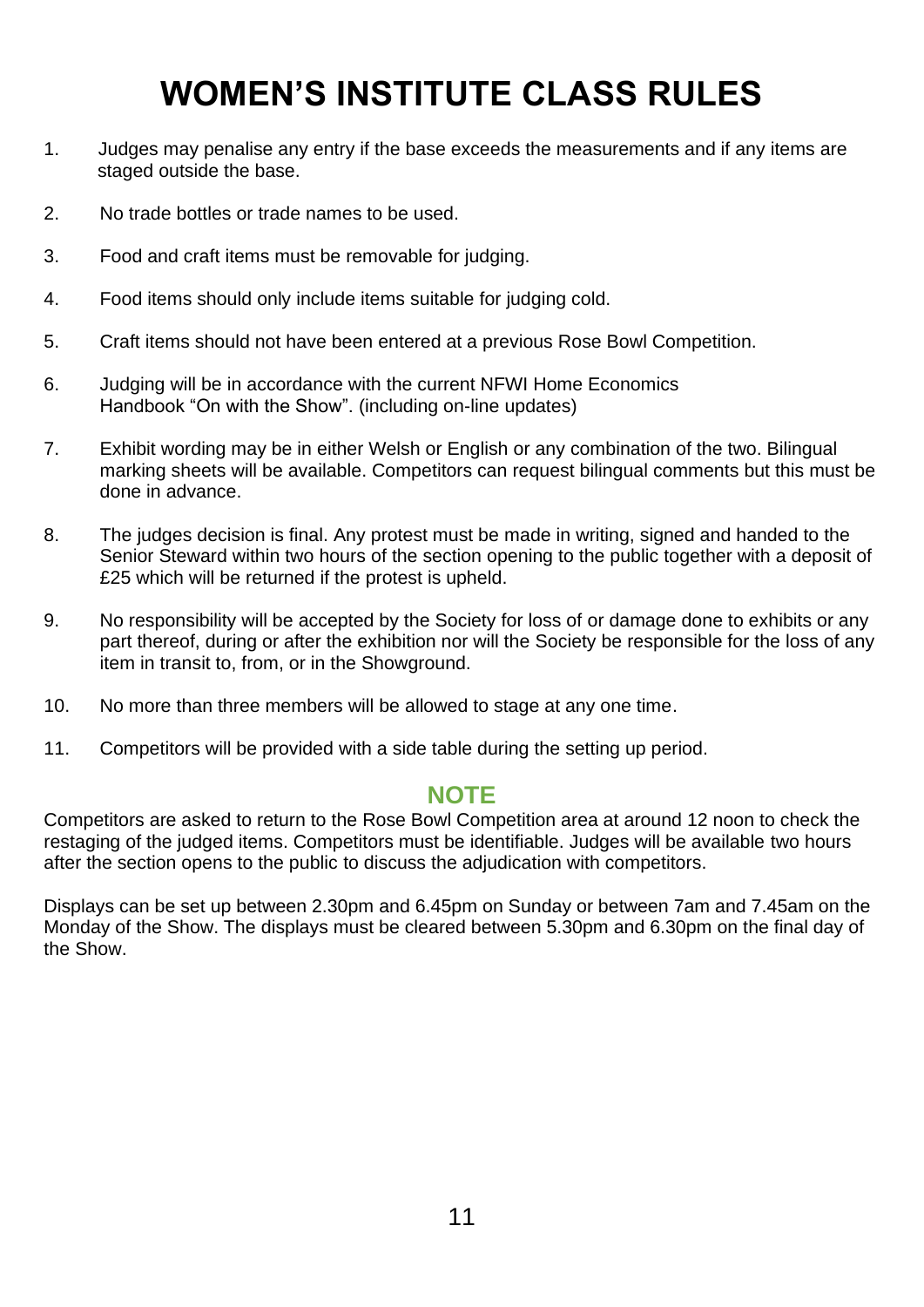### **WOMEN'S INSTITUTE CLASS RULES**

- 1. Judges may penalise any entry if the base exceeds the measurements and if any items are staged outside the base.
- 2. No trade bottles or trade names to be used.
- 3. Food and craft items must be removable for judging.
- 4. Food items should only include items suitable for judging cold.
- 5. Craft items should not have been entered at a previous Rose Bowl Competition.
- 6. Judging will be in accordance with the current NFWI Home Economics Handbook "On with the Show". (including on-line updates)
- 7. Exhibit wording may be in either Welsh or English or any combination of the two. Bilingual marking sheets will be available. Competitors can request bilingual comments but this must be done in advance.
- 8. The judges decision is final. Any protest must be made in writing, signed and handed to the Senior Steward within two hours of the section opening to the public together with a deposit of £25 which will be returned if the protest is upheld.
- 9. No responsibility will be accepted by the Society for loss of or damage done to exhibits or any part thereof, during or after the exhibition nor will the Society be responsible for the loss of any item in transit to, from, or in the Showground.
- 10. No more than three members will be allowed to stage at any one time.
- 11. Competitors will be provided with a side table during the setting up period.

#### **NOTE**

Competitors are asked to return to the Rose Bowl Competition area at around 12 noon to check the restaging of the judged items. Competitors must be identifiable. Judges will be available two hours after the section opens to the public to discuss the adjudication with competitors.

Displays can be set up between 2.30pm and 6.45pm on Sunday or between 7am and 7.45am on the Monday of the Show. The displays must be cleared between 5.30pm and 6.30pm on the final day of the Show.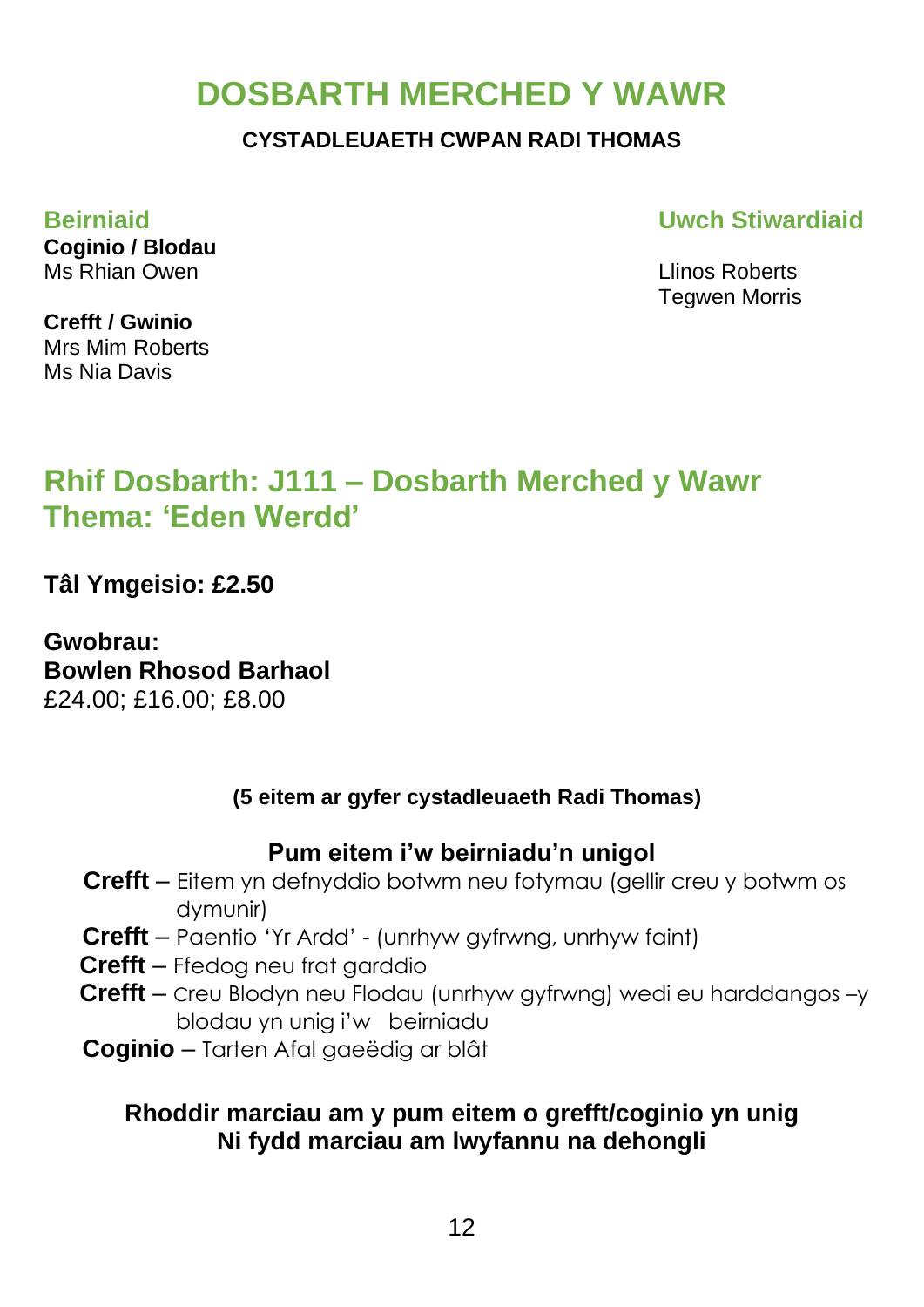### **DOSBARTH MERCHED Y WAWR**

#### **CYSTADLEUAETH CWPAN RADI THOMAS**

**Beirniaid Uwch Stiwardiaid**

Tegwen Morris

**Coginio / Blodau** Ms Rhian Owen Llinos Roberts

**Crefft / Gwinio** Mrs Mim Roberts Ms Nia Davis

### **Rhif Dosbarth: J111 – Dosbarth Merched y Wawr Thema: 'Eden Werdd'**

**Tâl Ymgeisio: £2.50**

**Gwobrau: Bowlen Rhosod Barhaol** £24.00; £16.00; £8.00

### **(5 eitem ar gyfer cystadleuaeth Radi Thomas)**

### **Pum eitem i'w beirniadu'n unigol**

- **Crefft** Eitem yn defnyddio botwm neu fotymau (gellir creu y botwm os dymunir)
- **Crefft** Paentio 'Yr Ardd' (unrhyw gyfrwng, unrhyw faint)
- **Crefft**  Ffedog neu frat garddio
- **Crefft** Creu Blodyn neu Flodau (unrhyw gyfrwng) wedi eu harddangos –y blodau yn unig i'w beirniadu
- **Coginio** Tarten Afal gaeëdig ar blât

### **Rhoddir marciau am y pum eitem o grefft/coginio yn unig Ni fydd marciau am lwyfannu na dehongli**